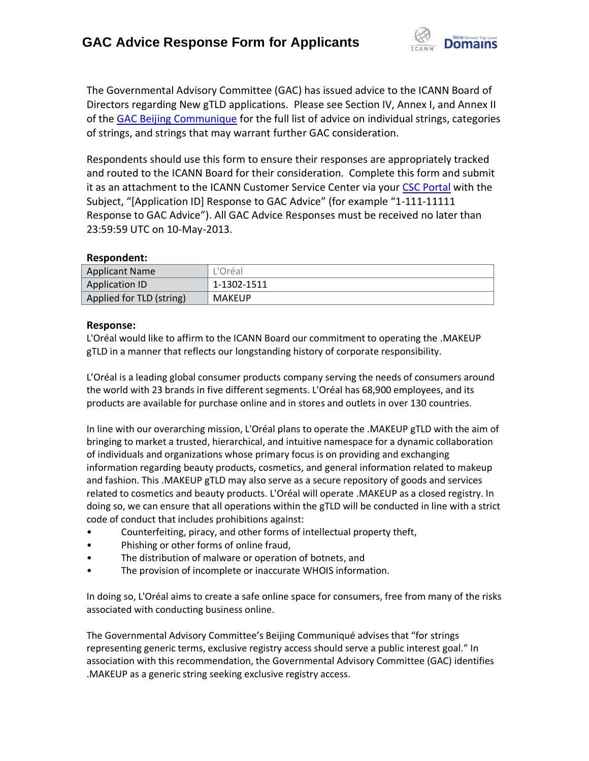

The Governmental Advisory Committee (GAC) has issued advice to the ICANN Board of Directors regarding New gTLD applications. Please see Section IV, Annex I, and Annex II of the [GAC Beijing Communique](http://www.icann.org/en/news/correspondence/gac-to-board-18apr13-en.pdf) for the full list of advice on individual strings, categories of strings, and strings that may warrant further GAC consideration.

Respondents should use this form to ensure their responses are appropriately tracked and routed to the ICANN Board for their consideration. Complete this form and submit it as an attachment to the ICANN Customer Service Center via your CSC [Portal](https://myicann.secure.force.com/) with the Subject, "[Application ID] Response to GAC Advice" (for example "1-111-11111 Response to GAC Advice"). All GAC Advice Responses must be received no later than 23:59:59 UTC on 10-May-2013.

## **Respondent:**

| <b>Applicant Name</b>    | L'Oréal       |
|--------------------------|---------------|
| <b>Application ID</b>    | 1-1302-1511   |
| Applied for TLD (string) | <b>MAKEUP</b> |

## **Response:**

L'Oréal would like to affirm to the ICANN Board our commitment to operating the .MAKEUP gTLD in a manner that reflects our longstanding history of corporate responsibility.

L'Oréal is a leading global consumer products company serving the needs of consumers around the world with 23 brands in five different segments. L'Oréal has 68,900 employees, and its products are available for purchase online and in stores and outlets in over 130 countries.

In line with our overarching mission, L'Oréal plans to operate the .MAKEUP gTLD with the aim of bringing to market a trusted, hierarchical, and intuitive namespace for a dynamic collaboration of individuals and organizations whose primary focus is on providing and exchanging information regarding beauty products, cosmetics, and general information related to makeup and fashion. This .MAKEUP gTLD may also serve as a secure repository of goods and services related to cosmetics and beauty products. L'Oréal will operate .MAKEUP as a closed registry. In doing so, we can ensure that all operations within the gTLD will be conducted in line with a strict code of conduct that includes prohibitions against:

- Counterfeiting, piracy, and other forms of intellectual property theft,
- Phishing or other forms of online fraud,
- The distribution of malware or operation of botnets, and
- The provision of incomplete or inaccurate WHOIS information.

In doing so, L'Oréal aims to create a safe online space for consumers, free from many of the risks associated with conducting business online.

The Governmental Advisory Committee's Beijing Communiqué advises that "for strings representing generic terms, exclusive registry access should serve a public interest goal." In association with this recommendation, the Governmental Advisory Committee (GAC) identifies .MAKEUP as a generic string seeking exclusive registry access.